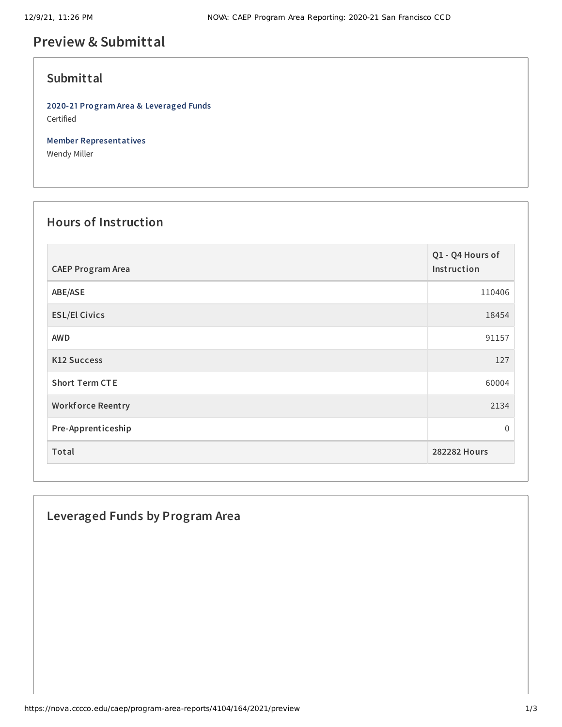# **Preview & Submittal**

#### **Submittal**

**2020-21 Program Area & Leveraged Funds** Certified

**Member Representatives** Wendy Miller

# **Hours of Instruction**

| <b>CAEP Program Area</b> | Q1 - Q4 Hours of<br>Instruction |
|--------------------------|---------------------------------|
| ABE/ASE                  | 110406                          |
| <b>ESL/El Civics</b>     | 18454                           |
| <b>AWD</b>               | 91157                           |
| <b>K12 Success</b>       | 127                             |
| <b>Short Term CTE</b>    | 60004                           |
| <b>Workforce Reentry</b> | 2134                            |
| Pre-Apprenticeship       | 0                               |
| Total                    | <b>282282 Hours</b>             |

## **Leveraged Funds by Program Area**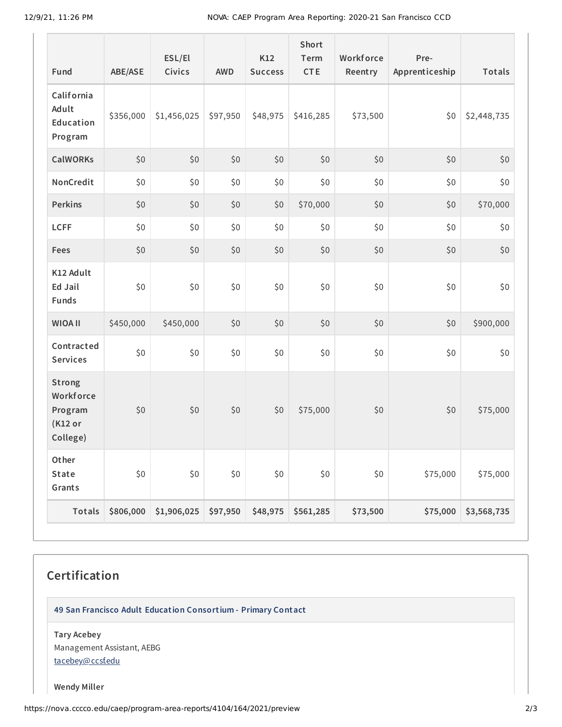| Fund                                                         | <b>ABE/ASE</b> | ESL/El<br>Civics | <b>AWD</b> | K12<br><b>Success</b> | <b>Short</b><br>Term<br><b>CTE</b> | Workforce<br>Reentry | Pre-<br>Apprenticeship | <b>Totals</b> |
|--------------------------------------------------------------|----------------|------------------|------------|-----------------------|------------------------------------|----------------------|------------------------|---------------|
| California<br>Adult<br>Education<br>Program                  | \$356,000      | \$1,456,025      | \$97,950   | \$48,975              | \$416,285                          | \$73,500             | \$0                    | \$2,448,735   |
| <b>CalWORKs</b>                                              | \$0            | \$0              | \$0        | \$0                   | \$0                                | \$0                  | \$0                    | \$0           |
| NonCredit                                                    | \$0            | \$0              | \$0        | \$0                   | \$0                                | \$0                  | \$0                    | \$0           |
| Perkins                                                      | \$0            | \$0              | \$0        | \$0                   | \$70,000                           | \$0                  | \$0                    | \$70,000      |
| <b>LCFF</b>                                                  | \$0            | \$0              | \$0        | \$0                   | \$0                                | \$0                  | \$0                    | \$0           |
| Fees                                                         | \$0            | \$0              | \$0        | \$0                   | \$0                                | \$0                  | \$0                    | \$0           |
| K12 Adult<br>Ed Jail<br><b>Funds</b>                         | \$0            | \$0              | \$0        | \$0                   | \$0                                | \$0                  | \$0                    | \$0           |
| <b>WIOA II</b>                                               | \$450,000      | \$450,000        | \$0        | \$0                   | \$0                                | \$0                  | \$0                    | \$900,000     |
| Contracted<br><b>Services</b>                                | \$0            | \$0              | \$0        | \$0                   | \$0                                | \$0                  | \$0                    | \$0           |
| <b>Strong</b><br>Workforce<br>Program<br>(K12 or<br>College) | \$0            | \$0              | \$0        | \$0                   | \$75,000                           | \$0                  | \$0                    | \$75,000      |
| Other<br>State<br>Grants                                     | \$0            | $$0$$            | \$0        | $$0$$                 | \$0                                | \$0                  | \$75,000               | \$75,000      |
| Totals                                                       | \$806,000      | \$1,906,025      | \$97,950   | \$48,975              | \$561,285                          | \$73,500             | \$75,000               | \$3,568,735   |

# **Certification**

**49 San Francisco Adult Education Consortium - Primary Contact**

**Tary Acebey** Management Assistant, AEBG [tacebey@ccsf.edu](mailto:tacebey@ccsf.edu)

**Wendy Miller**